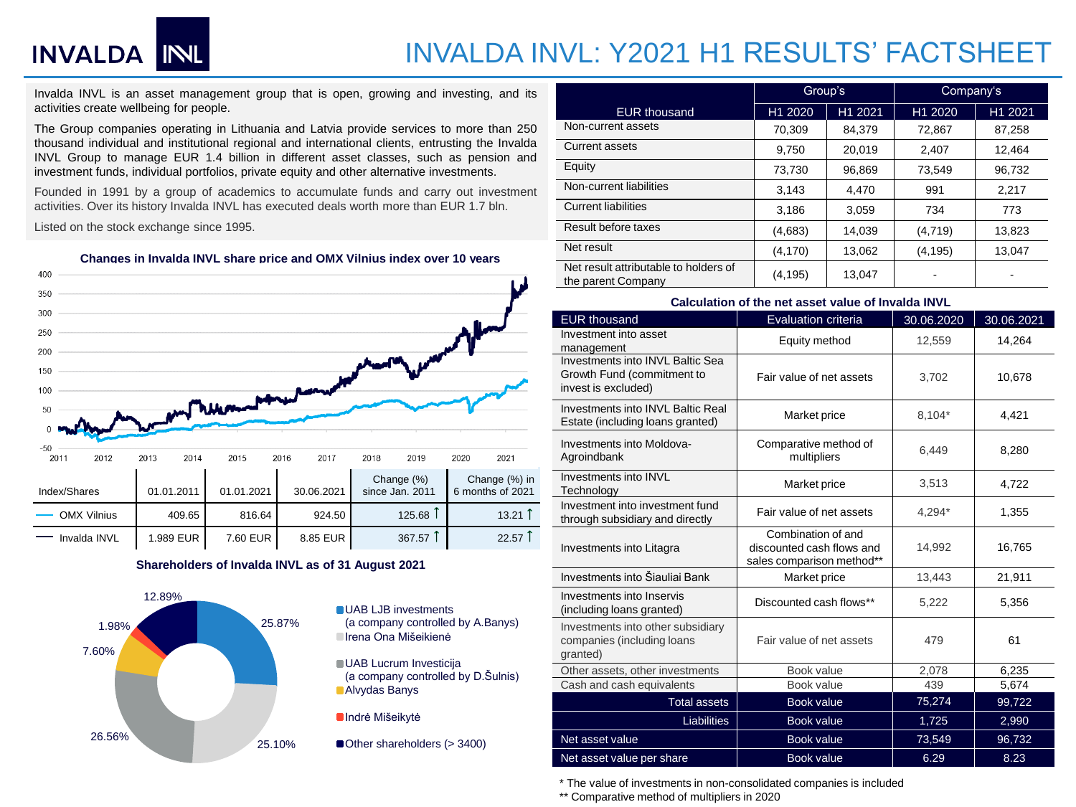## INVALDA INL

### INVALDA INVL: Y2021 H1 RESULTS' FACTSHEET

Invalda INVL is an asset management group that is open, growing and investing, and its activities create wellbeing for people.

The Group companies operating in Lithuania and Latvia provide services to more than 250 thousand individual and institutional regional and international clients, entrusting the Invalda INVL Group to manage EUR 1.4 billion in different asset classes, such as pension and investment funds, individual portfolios, private equity and other alternative investments.

Founded in 1991 by a group of academics to accumulate funds and carry out investment activities. Over its history Invalda INVL has executed deals worth more than EUR 1.7 bln.

Listed on the stock exchange since 1995.

**Changes in Invalda INVL share price and OMX Vilnius index over 10 years**



#### **Shareholders of Invalda INVL as of 31 August 2021**



|                                                             | Group's  |         | Company's |         |
|-------------------------------------------------------------|----------|---------|-----------|---------|
| <b>EUR thousand</b>                                         | H1 2020  | H1 2021 | H1 2020   | H1 2021 |
| Non-current assets                                          | 70,309   | 84,379  | 72,867    | 87,258  |
| <b>Current assets</b>                                       | 9.750    | 20.019  | 2,407     | 12.464  |
| Equity                                                      | 73,730   | 96,869  | 73,549    | 96,732  |
| Non-current liabilities                                     | 3.143    | 4.470   | 991       | 2.217   |
| <b>Current liabilities</b>                                  | 3,186    | 3,059   | 734       | 773     |
| Result before taxes                                         | (4,683)  | 14,039  | (4,719)   | 13,823  |
| Net result                                                  | (4, 170) | 13,062  | (4, 195)  | 13,047  |
| Net result attributable to holders of<br>the parent Company | (4, 195) | 13.047  |           |         |

| Calculation of the net asset value of Invalda INVL                                    |                                                                              |            |            |  |  |  |  |  |
|---------------------------------------------------------------------------------------|------------------------------------------------------------------------------|------------|------------|--|--|--|--|--|
| <b>EUR thousand</b>                                                                   | <b>Evaluation criteria</b>                                                   | 30.06.2020 | 30.06.2021 |  |  |  |  |  |
| Investment into asset<br>management                                                   | Equity method                                                                | 12,559     | 14,264     |  |  |  |  |  |
| Investments into INVL Baltic Sea<br>Growth Fund (commitment to<br>invest is excluded) | Fair value of net assets                                                     | 3,702      | 10,678     |  |  |  |  |  |
| Investments into INVL Baltic Real<br>Estate (including loans granted)                 | Market price                                                                 | 8,104*     | 4,421      |  |  |  |  |  |
| Investments into Moldova-<br>Agroindbank                                              | Comparative method of<br>multipliers                                         | 6,449      | 8,280      |  |  |  |  |  |
| Investments into INVL<br>Technology                                                   | Market price                                                                 | 3,513      | 4,722      |  |  |  |  |  |
| Investment into investment fund<br>through subsidiary and directly                    | Fair value of net assets                                                     | 4,294*     | 1,355      |  |  |  |  |  |
| Investments into Litagra                                                              | Combination of and<br>discounted cash flows and<br>sales comparison method** | 14,992     | 16,765     |  |  |  |  |  |
| Investments into Šiauliai Bank                                                        | Market price                                                                 | 13,443     | 21,911     |  |  |  |  |  |
| Investments into Inservis<br>(including loans granted)                                | Discounted cash flows**                                                      | 5,222      | 5,356      |  |  |  |  |  |
| Investments into other subsidiary<br>companies (including loans<br>qranted)           | Fair value of net assets                                                     | 479        | 61         |  |  |  |  |  |
| Other assets, other investments                                                       | Book value                                                                   | 2,078      | 6,235      |  |  |  |  |  |
| Cash and cash equivalents                                                             | Book value                                                                   | 439        | 5,674      |  |  |  |  |  |
| <b>Total assets</b>                                                                   | <b>Book value</b>                                                            | 75,274     | 99,722     |  |  |  |  |  |
| <b>Liabilities</b>                                                                    | <b>Book value</b>                                                            | 1,725      | 2,990      |  |  |  |  |  |
| Net asset value                                                                       | <b>Book value</b>                                                            | 73,549     | 96,732     |  |  |  |  |  |
| <b>Book value</b><br>Net asset value per share                                        |                                                                              | 6.29       | 8.23       |  |  |  |  |  |

\* The value of investments in non-consolidated companies is included

\*\* Comparative method of multipliers in 2020